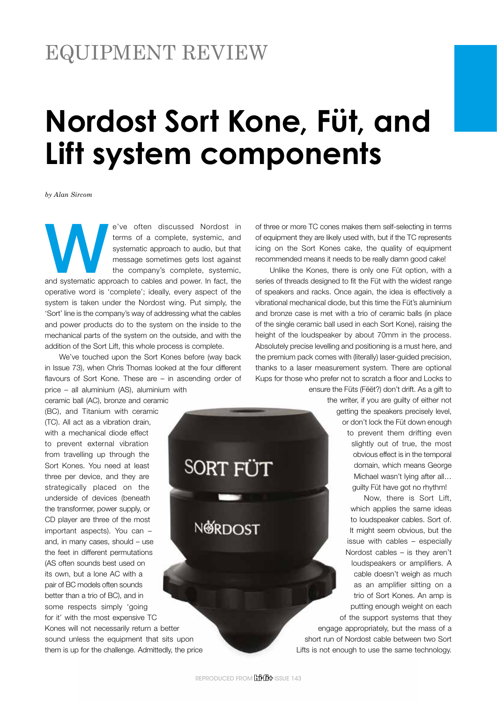# EQUIPMENT REVIEW

# **Nordost Sort Kone, Füt, and Lift system components**

*by Alan Sircom*

e've often discussed Nordost in<br>
terms of a complete, systemic, and<br>
systematic approach to audio, but that<br>
message sometimes gets lost against<br>
the company's complete, systemic,<br>
and systematic approach to cables and pow terms of a complete, systemic, and systematic approach to audio, but that message sometimes gets lost against the company's complete, systemic, operative word is 'complete'; ideally, every aspect of the system is taken under the Nordost wing. Put simply, the 'Sort' line is the company's way of addressing what the cables and power products do to the system on the inside to the mechanical parts of the system on the outside, and with the addition of the Sort Lift, this whole process is complete.

We've touched upon the Sort Kones before (way back in Issue 73), when Chris Thomas looked at the four different flavours of Sort Kone. These are – in ascending order of price – all aluminium (AS), aluminium with

ceramic ball (AC), bronze and ceramic (BC), and Titanium with ceramic (TC). All act as a vibration drain, with a mechanical diode effect to prevent external vibration from travelling up through the Sort Kones. You need at least three per device, and they are strategically placed on the underside of devices (beneath the transformer, power supply, or CD player are three of the most important aspects). You can – and, in many cases, should – use the feet in different permutations (AS often sounds best used on its own, but a lone AC with a pair of BC models often sounds better than a trio of BC), and in some respects simply 'going for it' with the most expensive TC

Kones will not necessarily return a better sound unless the equipment that sits upon them is up for the challenge. Admittedly, the price of three or more TC cones makes them self-selecting in terms of equipment they are likely used with, but if the TC represents icing on the Sort Kones cake, the quality of equipment recommended means it needs to be really damn good cake!

Unlike the Kones, there is only one Füt option, with a series of threads designed to fit the Füt with the widest range of speakers and racks. Once again, the idea is effectively a vibrational mechanical diode, but this time the Füt's aluminium and bronze case is met with a trio of ceramic balls (in place of the single ceramic ball used in each Sort Kone), raising the height of the loudspeaker by about 70mm in the process. Absolutely precise levelling and positioning is a must here, and the premium pack comes with (literally) laser-guided precision, thanks to a laser measurement system. There are optional Kups for those who prefer not to scratch a floor and Locks to ensure the Füts (Fëët?) don't drift. As a gift to

the writer, if you are guilty of either not getting the speakers precisely level, or don't lock the Füt down enough to prevent them drifting even slightly out of true, the most obvious effect is in the temporal domain, which means George Michael wasn't lying after all… guilty Füt have got no rhythm!

Now, there is Sort Lift, which applies the same ideas to loudspeaker cables. Sort of. It might seem obvious, but the issue with cables – especially Nordost cables – is they aren't loudspeakers or amplifiers. A cable doesn't weigh as much as an amplifier sitting on a trio of Sort Kones. An amp is putting enough weight on each of the support systems that they

engage appropriately, but the mass of a short run of Nordost cable between two Sort Lifts is not enough to use the same technology.

**SORT FÜT** 

**NØRDOST**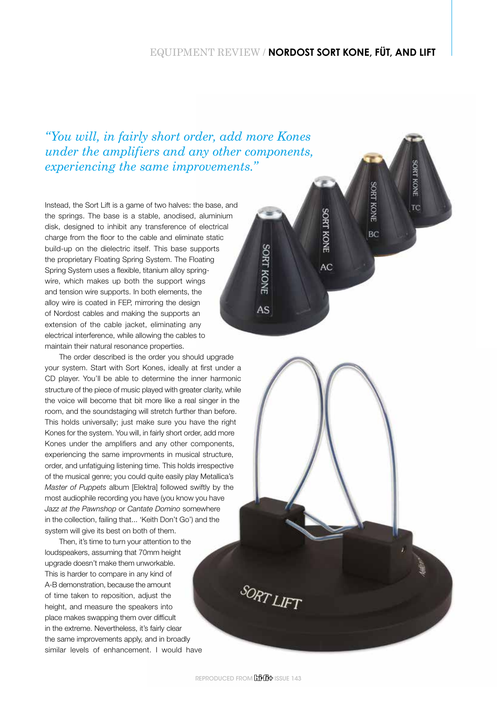## EQUIPMENT REVIEW / **NORDOST SORT KONE, FÜT, AND LIFT**

SORT KONE

TC

**SORT KONE** 

BĊ

**SORT KONE** 

AC

**SORT KONE** 

AS

*"You will, in fairly short order, add more Kones under the amplifiers and any other components, experiencing the same improvements."*

Instead, the Sort Lift is a game of two halves: the base, and the springs. The base is a stable, anodised, aluminium disk, designed to inhibit any transference of electrical charge from the floor to the cable and eliminate static build-up on the dielectric itself. This base supports the proprietary Floating Spring System. The Floating Spring System uses a flexible, titanium alloy springwire, which makes up both the support wings and tension wire supports. In both elements, the alloy wire is coated in FEP, mirroring the design of Nordost cables and making the supports an extension of the cable jacket, eliminating any electrical interference, while allowing the cables to maintain their natural resonance properties.

The order described is the order you should upgrade your system. Start with Sort Kones, ideally at first under a CD player. You'll be able to determine the inner harmonic structure of the piece of music played with greater clarity, while the voice will become that bit more like a real singer in the room, and the soundstaging will stretch further than before. This holds universally; just make sure you have the right Kones for the system. You will, in fairly short order, add more Kones under the amplifiers and any other components, experiencing the same improvments in musical structure, order, and unfatiguing listening time. This holds irrespective of the musical genre; you could quite easily play Metallica's *Master of Puppets* album [Elektra] followed swiftly by the most audiophile recording you have (you know you have *Jazz at the Pawnshop* or *Cantate Domino* somewhere in the collection, failing that... 'Keith Don't Go') and the system will give its best on both of them.

Then, it's time to turn your attention to the loudspeakers, assuming that 70mm height upgrade doesn't make them unworkable. This is harder to compare in any kind of A-B demonstration, because the amount of time taken to reposition, adjust the height, and measure the speakers into place makes swapping them over difficult in the extreme. Nevertheless, it's fairly clear the same improvements apply, and in broadly similar levels of enhancement. I would have

**SORT LIFT**